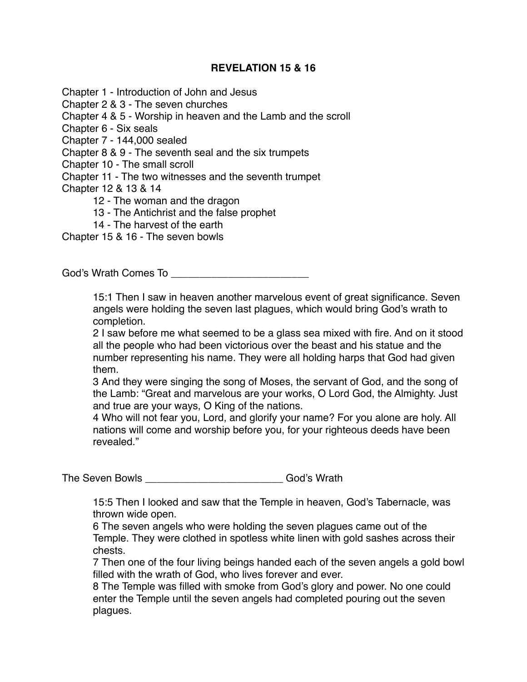## **REVELATION 15 & 16**

Chapter 1 - Introduction of John and Jesus

Chapter 2 & 3 - The seven churches

Chapter 4 & 5 - Worship in heaven and the Lamb and the scroll

Chapter 6 - Six seals

Chapter 7 - 144,000 sealed

Chapter 8 & 9 - The seventh seal and the six trumpets

Chapter 10 - The small scroll

Chapter 11 - The two witnesses and the seventh trumpet

Chapter 12 & 13 & 14

12 - The woman and the dragon

13 - The Antichrist and the false prophet

14 - The harvest of the earth

Chapter 15 & 16 - The seven bowls

God's Wrath Comes To **Example 20** 

15:1 Then I saw in heaven another marvelous event of great significance. Seven angels were holding the seven last plagues, which would bring God's wrath to completion.

2 I saw before me what seemed to be a glass sea mixed with fire. And on it stood all the people who had been victorious over the beast and his statue and the number representing his name. They were all holding harps that God had given them.

3 And they were singing the song of Moses, the servant of God, and the song of the Lamb: "Great and marvelous are your works, O Lord God, the Almighty. Just and true are your ways, O King of the nations.

4 Who will not fear you, Lord, and glorify your name? For you alone are holy. All nations will come and worship before you, for your righteous deeds have been revealed."

The Seven Bowls \_\_\_\_\_\_\_\_\_\_\_\_\_\_\_\_\_\_\_\_\_\_\_\_\_\_\_\_\_\_\_\_\_God's Wrath

15:5 Then I looked and saw that the Temple in heaven, God's Tabernacle, was thrown wide open.

6 The seven angels who were holding the seven plagues came out of the Temple. They were clothed in spotless white linen with gold sashes across their chests.

7 Then one of the four living beings handed each of the seven angels a gold bowl filled with the wrath of God, who lives forever and ever.

8 The Temple was filled with smoke from God's glory and power. No one could enter the Temple until the seven angels had completed pouring out the seven plagues.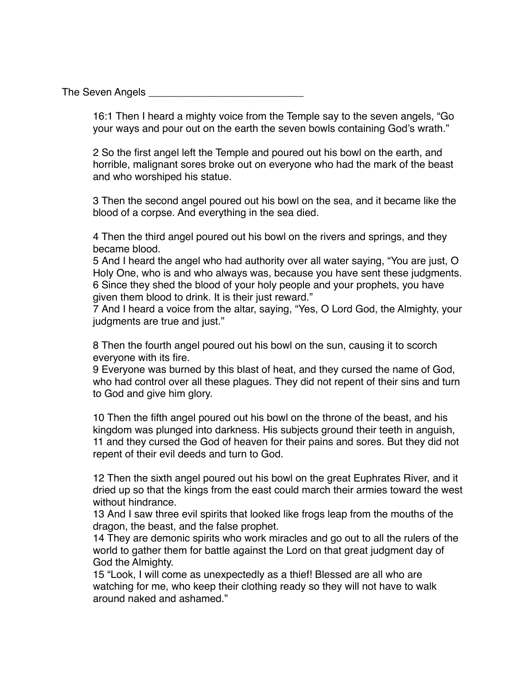The Seven Angels

16:1 Then I heard a mighty voice from the Temple say to the seven angels, "Go your ways and pour out on the earth the seven bowls containing God's wrath."

2 So the first angel left the Temple and poured out his bowl on the earth, and horrible, malignant sores broke out on everyone who had the mark of the beast and who worshiped his statue.

3 Then the second angel poured out his bowl on the sea, and it became like the blood of a corpse. And everything in the sea died.

4 Then the third angel poured out his bowl on the rivers and springs, and they became blood.

5 And I heard the angel who had authority over all water saying, "You are just, O Holy One, who is and who always was, because you have sent these judgments. 6 Since they shed the blood of your holy people and your prophets, you have given them blood to drink. It is their just reward."

7 And I heard a voice from the altar, saying, "Yes, O Lord God, the Almighty, your judgments are true and just."

8 Then the fourth angel poured out his bowl on the sun, causing it to scorch everyone with its fire.

9 Everyone was burned by this blast of heat, and they cursed the name of God, who had control over all these plagues. They did not repent of their sins and turn to God and give him glory.

10 Then the fifth angel poured out his bowl on the throne of the beast, and his kingdom was plunged into darkness. His subjects ground their teeth in anguish, 11 and they cursed the God of heaven for their pains and sores. But they did not repent of their evil deeds and turn to God.

12 Then the sixth angel poured out his bowl on the great Euphrates River, and it dried up so that the kings from the east could march their armies toward the west without hindrance.

13 And I saw three evil spirits that looked like frogs leap from the mouths of the dragon, the beast, and the false prophet.

14 They are demonic spirits who work miracles and go out to all the rulers of the world to gather them for battle against the Lord on that great judgment day of God the Almighty.

15 "Look, I will come as unexpectedly as a thief! Blessed are all who are watching for me, who keep their clothing ready so they will not have to walk around naked and ashamed."